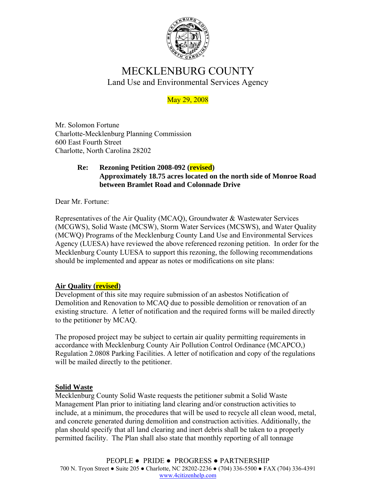

# MECKLENBURG COUNTY Land Use and Environmental Services Agency

## May 29, 2008

Mr. Solomon Fortune Charlotte-Mecklenburg Planning Commission 600 East Fourth Street Charlotte, North Carolina 28202

### **Re: Rezoning Petition 2008-092 (revised) Approximately 18.75 acres located on the north side of Monroe Road between Bramlet Road and Colonnade Drive**

Dear Mr. Fortune:

Representatives of the Air Quality (MCAQ), Groundwater & Wastewater Services (MCGWS), Solid Waste (MCSW), Storm Water Services (MCSWS), and Water Quality (MCWQ) Programs of the Mecklenburg County Land Use and Environmental Services Agency (LUESA) have reviewed the above referenced rezoning petition. In order for the Mecklenburg County LUESA to support this rezoning, the following recommendations should be implemented and appear as notes or modifications on site plans:

### **Air Quality (revised)**

Development of this site may require submission of an asbestos Notification of Demolition and Renovation to MCAQ due to possible demolition or renovation of an existing structure. A letter of notification and the required forms will be mailed directly to the petitioner by MCAQ.

The proposed project may be subject to certain air quality permitting requirements in accordance with Mecklenburg County Air Pollution Control Ordinance (MCAPCO,) Regulation 2.0808 Parking Facilities. A letter of notification and copy of the regulations will be mailed directly to the petitioner.

### **Solid Waste**

Mecklenburg County Solid Waste requests the petitioner submit a Solid Waste Management Plan prior to initiating land clearing and/or construction activities to include, at a minimum, the procedures that will be used to recycle all clean wood, metal, and concrete generated during demolition and construction activities. Additionally, the plan should specify that all land clearing and inert debris shall be taken to a properly permitted facility. The Plan shall also state that monthly reporting of all tonnage